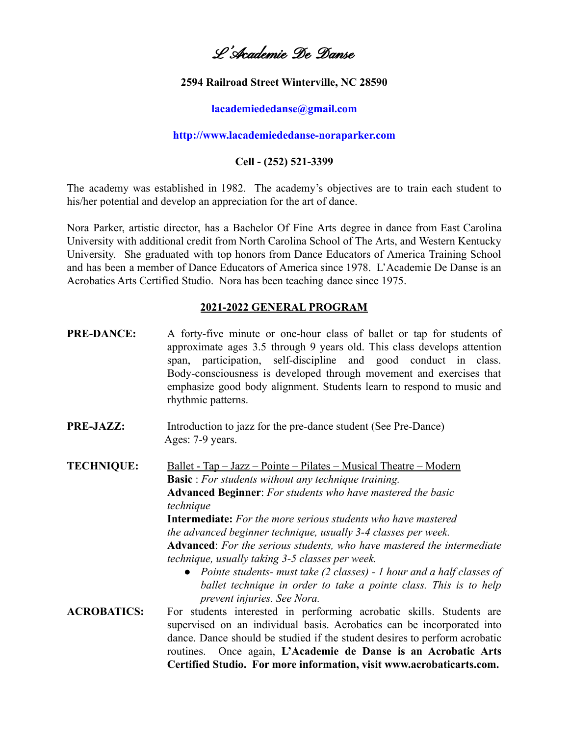# L'Academie De Danse

### **2594 Railroad Street Winterville, NC 28590**

### **[lacademiededanse@gmail.com](mailto:lacademiededanse@gmail.com)**

### **<http://www.lacademiededanse-noraparker.com>**

### **Cell - (252) 521-3399**

The academy was established in 1982. The academy's objectives are to train each student to his/her potential and develop an appreciation for the art of dance.

Nora Parker, artistic director, has a Bachelor Of Fine Arts degree in dance from East Carolina University with additional credit from North Carolina School of The Arts, and Western Kentucky University. She graduated with top honors from Dance Educators of America Training School and has been a member of Dance Educators of America since 1978. L'Academie De Danse is an Acrobatics Arts Certified Studio. Nora has been teaching dance since 1975.

#### **2021-2022 GENERAL PROGRAM**

- **PRE-DANCE:** A forty-five minute or one-hour class of ballet or tap for students of approximate ages 3.5 through 9 years old. This class develops attention span, participation, self-discipline and good conduct in class. Body-consciousness is developed through movement and exercises that emphasize good body alignment. Students learn to respond to music and rhythmic patterns.
- **PRE-JAZZ:** Introduction to jazz for the pre-dance student (See Pre-Dance) Ages: 7-9 years.

**TECHNIQUE:** Ballet - Tap – Jazz – Pointe – Pilates – Musical Theatre – Modern **Basic** : *For students without any technique training.* **Advanced Beginner**: *For students who have mastered the basic technique* **Intermediate:** *For the more serious students who have mastered the advanced beginner technique, usually 3-4 classes per week.* **Advanced**: *For the serious students, who have mastered the intermediate technique, usually taking 3-5 classes per week. ● Pointe students- must take (2 classes) - 1 hour and a half classes of ballet technique in order to take a pointe class. This is to help*

*prevent injuries. See Nora.* **ACROBATICS:** For students interested in performing acrobatic skills. Students are supervised on an individual basis. Acrobatics can be incorporated into dance. Dance should be studied if the student desires to perform acrobatic routines. Once again, **L'Academie de Danse is an Acrobatic Arts Certified Studio. For more information, visit www.acrobaticarts.com.**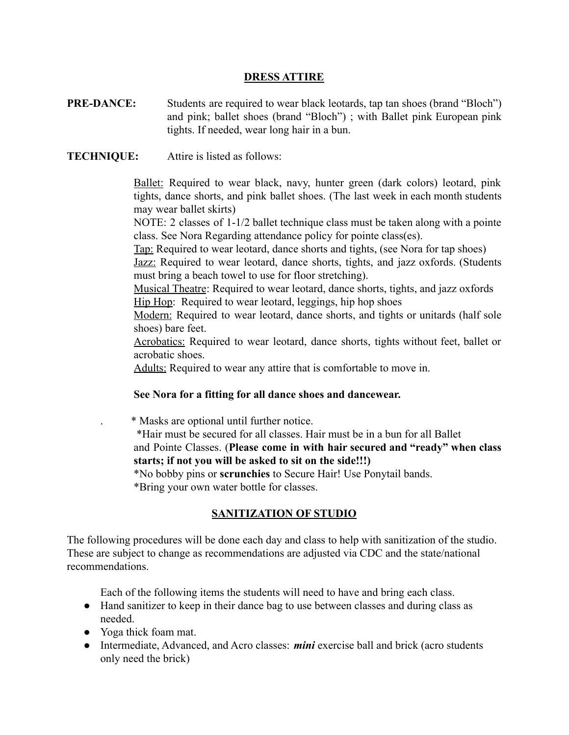### **DRESS ATTIRE**

**PRE-DANCE:** Students are required to wear black leotards, tap tan shoes (brand "Bloch") and pink; ballet shoes (brand "Bloch") ; with Ballet pink European pink tights. If needed, wear long hair in a bun.

**TECHNIQUE:** Attire is listed as follows:

Ballet: Required to wear black, navy, hunter green (dark colors) leotard, pink tights, dance shorts, and pink ballet shoes. (The last week in each month students may wear ballet skirts)

NOTE: 2 classes of 1-1/2 ballet technique class must be taken along with a pointe class. See Nora Regarding attendance policy for pointe class(es).

Tap: Required to wear leotard, dance shorts and tights, (see Nora for tap shoes)

Jazz: Required to wear leotard, dance shorts, tights, and jazz oxfords. (Students must bring a beach towel to use for floor stretching).

Musical Theatre: Required to wear leotard, dance shorts, tights, and jazz oxfords Hip Hop: Required to wear leotard, leggings, hip hop shoes

Modern: Required to wear leotard, dance shorts, and tights or unitards (half sole shoes) bare feet.

Acrobatics: Required to wear leotard, dance shorts, tights without feet, ballet or acrobatic shoes.

Adults: Required to wear any attire that is comfortable to move in.

### **See Nora for a fitting for all dance shoes and dancewear.**

. \* Masks are optional until further notice.

\*Hair must be secured for all classes. Hair must be in a bun for all Ballet and Pointe Classes. (**Please come in with hair secured and "ready" when class starts; if not you will be asked to sit on the side!!!)**

\*No bobby pins or **scrunchies** to Secure Hair! Use Ponytail bands. \*Bring your own water bottle for classes.

# **SANITIZATION OF STUDIO**

The following procedures will be done each day and class to help with sanitization of the studio. These are subject to change as recommendations are adjusted via CDC and the state/national recommendations.

Each of the following items the students will need to have and bring each class.

- Hand sanitizer to keep in their dance bag to use between classes and during class as needed.
- Yoga thick foam mat.
- Intermediate, Advanced, and Acro classes: *mini* exercise ball and brick (acro students only need the brick)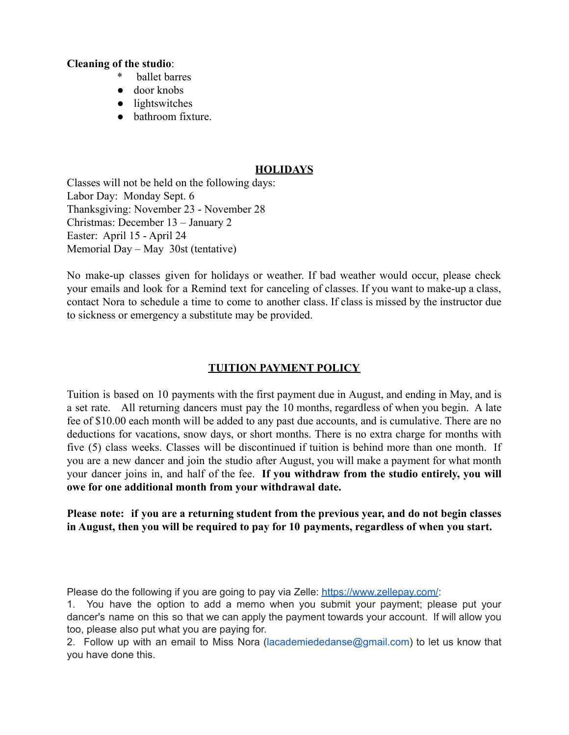### **Cleaning of the studio**:

- \* ballet barres
- door knobs
- lightswitches
- bathroom fixture.

# **HOLIDAYS**

Classes will not be held on the following days: Labor Day: Monday Sept. 6 Thanksgiving: November 23 - November 28 Christmas: December 13 – January 2 Easter: April 15 - April 24 Memorial Day – May 30st (tentative)

No make-up classes given for holidays or weather. If bad weather would occur, please check your emails and look for a Remind text for canceling of classes. If you want to make-up a class, contact Nora to schedule a time to come to another class. If class is missed by the instructor due to sickness or emergency a substitute may be provided.

# **TUITION PAYMENT POLICY**

Tuition is based on 10 payments with the first payment due in August, and ending in May, and is a set rate. All returning dancers must pay the 10 months, regardless of when you begin. A late fee of \$10.00 each month will be added to any past due accounts, and is cumulative. There are no deductions for vacations, snow days, or short months. There is no extra charge for months with five (5) class weeks. Classes will be discontinued if tuition is behind more than one month. If you are a new dancer and join the studio after August, you will make a payment for what month your dancer joins in, and half of the fee. **If you withdraw from the studio entirely, you will owe for one additional month from your withdrawal date.**

# **Please note: if you are a returning student from the previous year, and do not begin classes in August, then you will be required to pay for 10 payments, regardless of when you start.**

Please do the following if you are going to pay via Zelle: <https://www.zellepay.com/>:

1. You have the option to add a memo when you submit your payment; please put your dancer's name on this so that we can apply the payment towards your account. If will allow you too, please also put what you are paying for.

2. Follow up with an email to Miss Nora (lacademiededanse@gmail.com) to let us know that you have done this.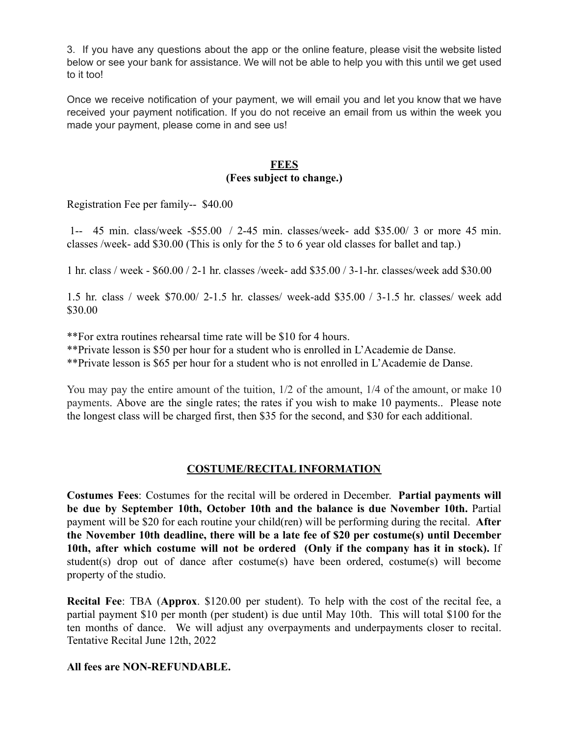3. If you have any questions about the app or the online feature, please visit the website listed below or see your bank for assistance. We will not be able to help you with this until we get used to it too!

Once we receive notification of your payment, we will email you and let you know that we have received your payment notification. If you do not receive an email from us within the week you made your payment, please come in and see us!

# **FEES**

## **(Fees subject to change.)**

Registration Fee per family-- \$40.00

1-- 45 min. class/week -\$55.00 / 2-45 min. classes/week- add \$35.00/ 3 or more 45 min. classes /week- add \$30.00 (This is only for the 5 to 6 year old classes for ballet and tap.)

1 hr. class / week - \$60.00 / 2-1 hr. classes /week- add \$35.00 / 3-1-hr. classes/week add \$30.00

1.5 hr. class / week \$70.00/ 2-1.5 hr. classes/ week-add \$35.00 / 3-1.5 hr. classes/ week add \$30.00

\*\*For extra routines rehearsal time rate will be \$10 for 4 hours.

\*\*Private lesson is \$50 per hour for a student who is enrolled in L'Academie de Danse.

\*\*Private lesson is \$65 per hour for a student who is not enrolled in L'Academie de Danse.

You may pay the entire amount of the tuition,  $1/2$  of the amount,  $1/4$  of the amount, or make 10 payments. Above are the single rates; the rates if you wish to make 10 payments.. Please note the longest class will be charged first, then \$35 for the second, and \$30 for each additional.

# **COSTUME/RECITAL INFORMATION**

**Costumes Fees**: Costumes for the recital will be ordered in December. **Partial payments will be due by September 10th, October 10th and the balance is due November 10th.** Partial payment will be \$20 for each routine your child(ren) will be performing during the recital. **After the November 10th deadline, there will be a late fee of \$20 per costume(s) until December 10th, after which costume will not be ordered (Only if the company has it in stock).** If student(s) drop out of dance after costume(s) have been ordered, costume(s) will become property of the studio.

**Recital Fee**: TBA (**Approx**. \$120.00 per student). To help with the cost of the recital fee, a partial payment \$10 per month (per student) is due until May 10th. This will total \$100 for the ten months of dance. We will adjust any overpayments and underpayments closer to recital. Tentative Recital June 12th, 2022

# **All fees are NON-REFUNDABLE.**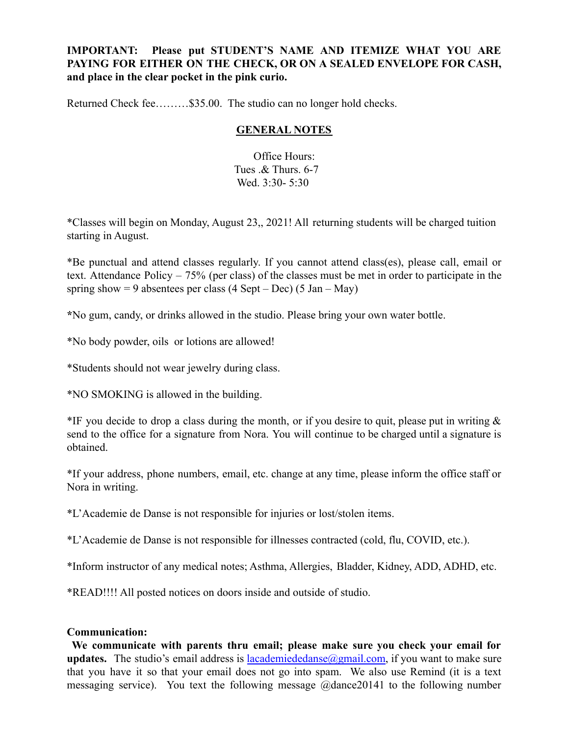# **IMPORTANT: Please put STUDENT'S NAME AND ITEMIZE WHAT YOU ARE PAYING FOR EITHER ON THE CHECK, OR ON A SEALED ENVELOPE FOR CASH, and place in the clear pocket in the pink curio.**

Returned Check fee………\$35.00. The studio can no longer hold checks.

## **GENERAL NOTES**

Office Hours: Tues .& Thurs. 6-7 Wed. 3:30- 5:30

\*Classes will begin on Monday, August 23,, 2021! All returning students will be charged tuition starting in August.

\*Be punctual and attend classes regularly. If you cannot attend class(es), please call, email or text. Attendance Policy – 75% (per class) of the classes must be met in order to participate in the spring show  $= 9$  absentees per class (4 Sept – Dec) (5 Jan – May)

**\***No gum, candy, or drinks allowed in the studio. Please bring your own water bottle.

\*No body powder, oils or lotions are allowed!

\*Students should not wear jewelry during class.

\*NO SMOKING is allowed in the building.

\*IF you decide to drop a class during the month, or if you desire to quit, please put in writing  $\&$ send to the office for a signature from Nora. You will continue to be charged until a signature is obtained.

\*If your address, phone numbers, email, etc. change at any time, please inform the office staff or Nora in writing.

\*L'Academie de Danse is not responsible for injuries or lost/stolen items.

\*L'Academie de Danse is not responsible for illnesses contracted (cold, flu, COVID, etc.).

\*Inform instructor of any medical notes; Asthma, Allergies, Bladder, Kidney, ADD, ADHD, etc.

\*READ!!!! All posted notices on doors inside and outside of studio.

### **Communication:**

**We communicate with parents thru email; please make sure you check your email for updates.** The studio's email address is  $lacademiededanse(Qgmail.com)$ , if you want to make sure that you have it so that your email does not go into spam. We also use Remind (it is a text messaging service). You text the following message @dance20141 to the following number